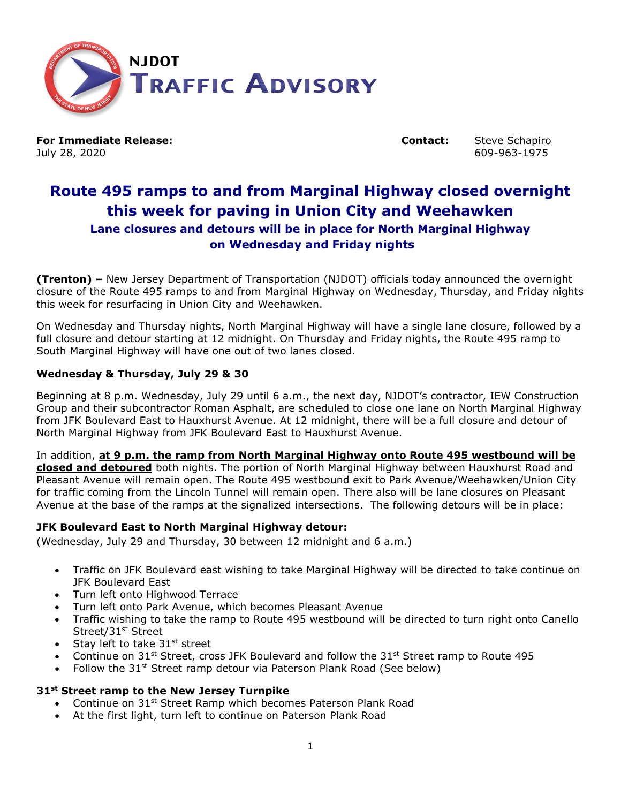

**For Immediate Release: Contact:** Steve Schapiro July 28, 2020 609-963-1975

# **Route 495 ramps to and from Marginal Highway closed overnight this week for paving in Union City and Weehawken Lane closures and detours will be in place for North Marginal Highway on Wednesday and Friday nights**

**(Trenton) –** New Jersey Department of Transportation (NJDOT) officials today announced the overnight closure of the Route 495 ramps to and from Marginal Highway on Wednesday, Thursday, and Friday nights this week for resurfacing in Union City and Weehawken.

On Wednesday and Thursday nights, North Marginal Highway will have a single lane closure, followed by a full closure and detour starting at 12 midnight. On Thursday and Friday nights, the Route 495 ramp to South Marginal Highway will have one out of two lanes closed.

# **Wednesday & Thursday, July 29 & 30**

Beginning at 8 p.m. Wednesday, July 29 until 6 a.m., the next day, NJDOT's contractor, IEW Construction Group and their subcontractor Roman Asphalt, are scheduled to close one lane on North Marginal Highway from JFK Boulevard East to Hauxhurst Avenue. At 12 midnight, there will be a full closure and detour of North Marginal Highway from JFK Boulevard East to Hauxhurst Avenue.

#### In addition, **at 9 p.m. the ramp from North Marginal Highway onto Route 495 westbound will be**

**closed and detoured** both nights. The portion of North Marginal Highway between Hauxhurst Road and Pleasant Avenue will remain open. The Route 495 westbound exit to Park Avenue/Weehawken/Union City for traffic coming from the Lincoln Tunnel will remain open. There also will be lane closures on Pleasant Avenue at the base of the ramps at the signalized intersections. The following detours will be in place:

#### **JFK Boulevard East to North Marginal Highway detour:**

(Wednesday, July 29 and Thursday, 30 between 12 midnight and 6 a.m.)

- Traffic on JFK Boulevard east wishing to take Marginal Highway will be directed to take continue on JFK Boulevard East
- Turn left onto Highwood Terrace
- Turn left onto Park Avenue, which becomes Pleasant Avenue
- Traffic wishing to take the ramp to Route 495 westbound will be directed to turn right onto Canello Street/31<sup>st</sup> Street
- Stay left to take  $31^{st}$  street
- Continue on 31<sup>st</sup> Street, cross JFK Boulevard and follow the 31st Street ramp to Route 495
- Follow the 31<sup>st</sup> Street ramp detour via Paterson Plank Road (See below)

#### **31st Street ramp to the New Jersey Turnpike**

- Continue on 31<sup>st</sup> Street Ramp which becomes Paterson Plank Road
- At the first light, turn left to continue on Paterson Plank Road